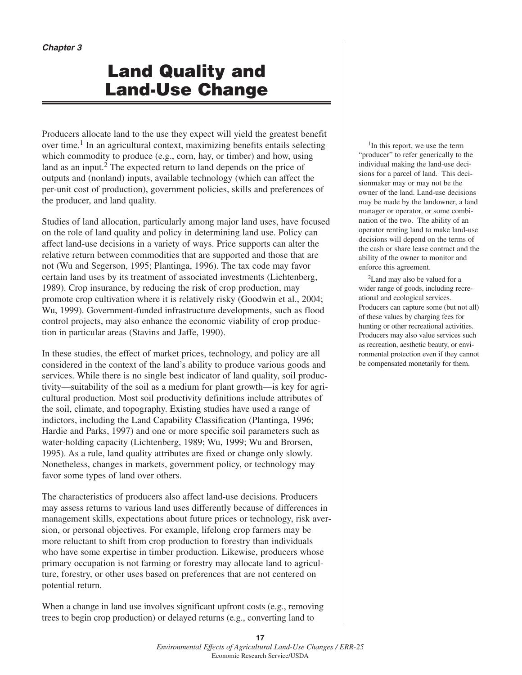# **Land Quality and Land-Use Change**

Producers allocate land to the use they expect will yield the greatest benefit over time.<sup>1</sup> In an agricultural context, maximizing benefits entails selecting which commodity to produce (e.g., corn, hay, or timber) and how, using land as an input.<sup>2</sup> The expected return to land depends on the price of outputs and (nonland) inputs, available technology (which can affect the per-unit cost of production), government policies, skills and preferences of the producer, and land quality.

Studies of land allocation, particularly among major land uses, have focused on the role of land quality and policy in determining land use. Policy can affect land-use decisions in a variety of ways. Price supports can alter the relative return between commodities that are supported and those that are not (Wu and Segerson, 1995; Plantinga, 1996). The tax code may favor certain land uses by its treatment of associated investments (Lichtenberg, 1989). Crop insurance, by reducing the risk of crop production, may promote crop cultivation where it is relatively risky (Goodwin et al., 2004; Wu, 1999). Government-funded infrastructure developments, such as flood control projects, may also enhance the economic viability of crop production in particular areas (Stavins and Jaffe, 1990).

In these studies, the effect of market prices, technology, and policy are all considered in the context of the land's ability to produce various goods and services. While there is no single best indicator of land quality, soil productivity—suitability of the soil as a medium for plant growth—is key for agricultural production. Most soil productivity definitions include attributes of the soil, climate, and topography. Existing studies have used a range of indictors, including the Land Capability Classification (Plantinga, 1996; Hardie and Parks, 1997) and one or more specific soil parameters such as water-holding capacity (Lichtenberg, 1989; Wu, 1999; Wu and Brorsen, 1995). As a rule, land quality attributes are fixed or change only slowly. Nonetheless, changes in markets, government policy, or technology may favor some types of land over others.

The characteristics of producers also affect land-use decisions. Producers may assess returns to various land uses differently because of differences in management skills, expectations about future prices or technology, risk aversion, or personal objectives. For example, lifelong crop farmers may be more reluctant to shift from crop production to forestry than individuals who have some expertise in timber production. Likewise, producers whose primary occupation is not farming or forestry may allocate land to agriculture, forestry, or other uses based on preferences that are not centered on potential return.

When a change in land use involves significant upfront costs (e.g., removing trees to begin crop production) or delayed returns (e.g., converting land to

1In this report, we use the term "producer" to refer generically to the individual making the land-use decisions for a parcel of land. This decisionmaker may or may not be the owner of the land. Land-use decisions may be made by the landowner, a land manager or operator, or some combination of the two. The ability of an operator renting land to make land-use decisions will depend on the terms of the cash or share lease contract and the ability of the owner to monitor and enforce this agreement.

2Land may also be valued for a wider range of goods, including recreational and ecological services. Producers can capture some (but not all) of these values by charging fees for hunting or other recreational activities. Producers may also value services such as recreation, aesthetic beauty, or environmental protection even if they cannot be compensated monetarily for them.

**<sup>17</sup>** *Environmental Effects of Agricultural Land-Use Changes / ERR-25* Economic Research Service/USDA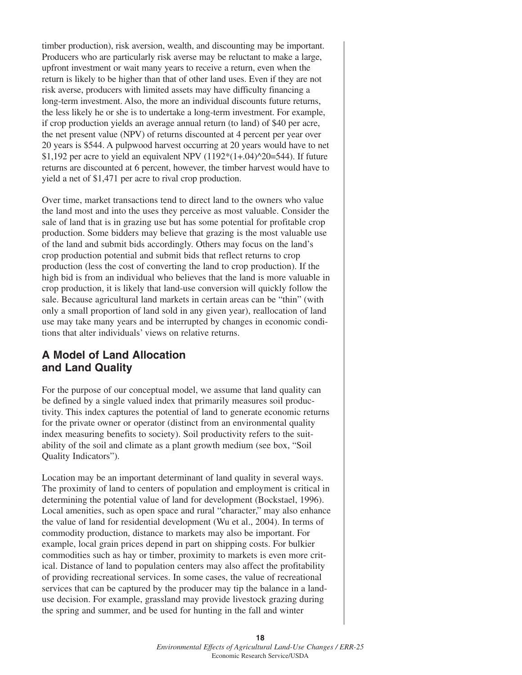timber production), risk aversion, wealth, and discounting may be important. Producers who are particularly risk averse may be reluctant to make a large, upfront investment or wait many years to receive a return, even when the return is likely to be higher than that of other land uses. Even if they are not risk averse, producers with limited assets may have difficulty financing a long-term investment. Also, the more an individual discounts future returns, the less likely he or she is to undertake a long-term investment. For example, if crop production yields an average annual return (to land) of \$40 per acre, the net present value (NPV) of returns discounted at 4 percent per year over 20 years is \$544. A pulpwood harvest occurring at 20 years would have to net \$1,192 per acre to yield an equivalent NPV  $(1192*(1+.04)^{20}=544)$ . If future returns are discounted at 6 percent, however, the timber harvest would have to yield a net of \$1,471 per acre to rival crop production.

Over time, market transactions tend to direct land to the owners who value the land most and into the uses they perceive as most valuable. Consider the sale of land that is in grazing use but has some potential for profitable crop production. Some bidders may believe that grazing is the most valuable use of the land and submit bids accordingly. Others may focus on the land's crop production potential and submit bids that reflect returns to crop production (less the cost of converting the land to crop production). If the high bid is from an individual who believes that the land is more valuable in crop production, it is likely that land-use conversion will quickly follow the sale. Because agricultural land markets in certain areas can be "thin" (with only a small proportion of land sold in any given year), reallocation of land use may take many years and be interrupted by changes in economic conditions that alter individuals' views on relative returns.

## **A Model of Land Allocation and Land Quality**

For the purpose of our conceptual model, we assume that land quality can be defined by a single valued index that primarily measures soil productivity. This index captures the potential of land to generate economic returns for the private owner or operator (distinct from an environmental quality index measuring benefits to society). Soil productivity refers to the suitability of the soil and climate as a plant growth medium (see box, "Soil Quality Indicators").

Location may be an important determinant of land quality in several ways. The proximity of land to centers of population and employment is critical in determining the potential value of land for development (Bockstael, 1996). Local amenities, such as open space and rural "character," may also enhance the value of land for residential development (Wu et al., 2004). In terms of commodity production, distance to markets may also be important. For example, local grain prices depend in part on shipping costs. For bulkier commodities such as hay or timber, proximity to markets is even more critical. Distance of land to population centers may also affect the profitability of providing recreational services. In some cases, the value of recreational services that can be captured by the producer may tip the balance in a landuse decision. For example, grassland may provide livestock grazing during the spring and summer, and be used for hunting in the fall and winter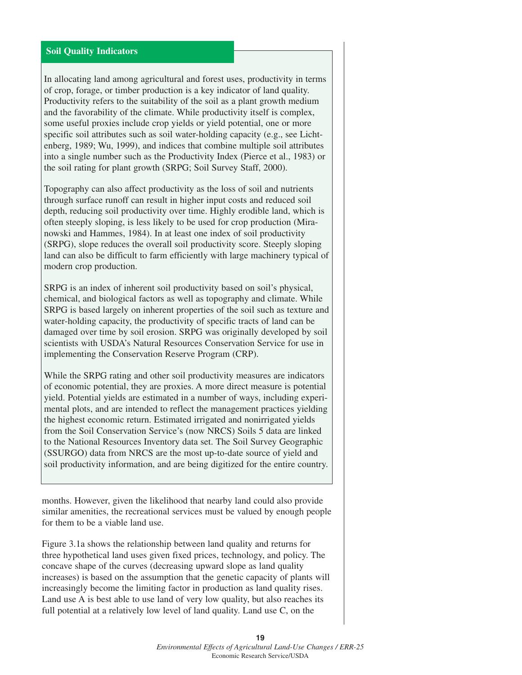### **Soil Quality Indicators**

In allocating land among agricultural and forest uses, productivity in terms of crop, forage, or timber production is a key indicator of land quality. Productivity refers to the suitability of the soil as a plant growth medium and the favorability of the climate. While productivity itself is complex, some useful proxies include crop yields or yield potential, one or more specific soil attributes such as soil water-holding capacity (e.g., see Lichtenberg, 1989; Wu, 1999), and indices that combine multiple soil attributes into a single number such as the Productivity Index (Pierce et al., 1983) or the soil rating for plant growth (SRPG; Soil Survey Staff, 2000).

Topography can also affect productivity as the loss of soil and nutrients through surface runoff can result in higher input costs and reduced soil depth, reducing soil productivity over time. Highly erodible land, which is often steeply sloping, is less likely to be used for crop production (Miranowski and Hammes, 1984). In at least one index of soil productivity (SRPG), slope reduces the overall soil productivity score. Steeply sloping land can also be difficult to farm efficiently with large machinery typical of modern crop production.

SRPG is an index of inherent soil productivity based on soil's physical, chemical, and biological factors as well as topography and climate. While SRPG is based largely on inherent properties of the soil such as texture and water-holding capacity, the productivity of specific tracts of land can be damaged over time by soil erosion. SRPG was originally developed by soil scientists with USDA's Natural Resources Conservation Service for use in implementing the Conservation Reserve Program (CRP).

While the SRPG rating and other soil productivity measures are indicators of economic potential, they are proxies. A more direct measure is potential yield. Potential yields are estimated in a number of ways, including experimental plots, and are intended to reflect the management practices yielding the highest economic return. Estimated irrigated and nonirrigated yields from the Soil Conservation Service's (now NRCS) Soils 5 data are linked to the National Resources Inventory data set. The Soil Survey Geographic (SSURGO) data from NRCS are the most up-to-date source of yield and soil productivity information, and are being digitized for the entire country.

months. However, given the likelihood that nearby land could also provide similar amenities, the recreational services must be valued by enough people for them to be a viable land use.

Figure 3.1a shows the relationship between land quality and returns for three hypothetical land uses given fixed prices, technology, and policy. The concave shape of the curves (decreasing upward slope as land quality increases) is based on the assumption that the genetic capacity of plants will increasingly become the limiting factor in production as land quality rises. Land use A is best able to use land of very low quality, but also reaches its full potential at a relatively low level of land quality. Land use C, on the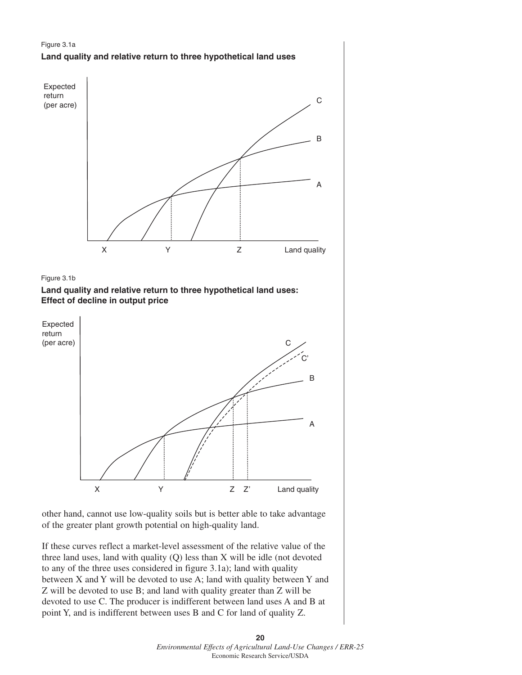





**Land quality and relative return to three hypothetical land uses: Effect of decline in output price** 



other hand, cannot use low-quality soils but is better able to take advantage of the greater plant growth potential on high-quality land.

If these curves reflect a market-level assessment of the relative value of the three land uses, land with quality (Q) less than X will be idle (not devoted to any of the three uses considered in figure 3.1a); land with quality between X and Y will be devoted to use A; land with quality between Y and Z will be devoted to use B; and land with quality greater than Z will be devoted to use C. The producer is indifferent between land uses A and B at point Y, and is indifferent between uses B and C for land of quality Z.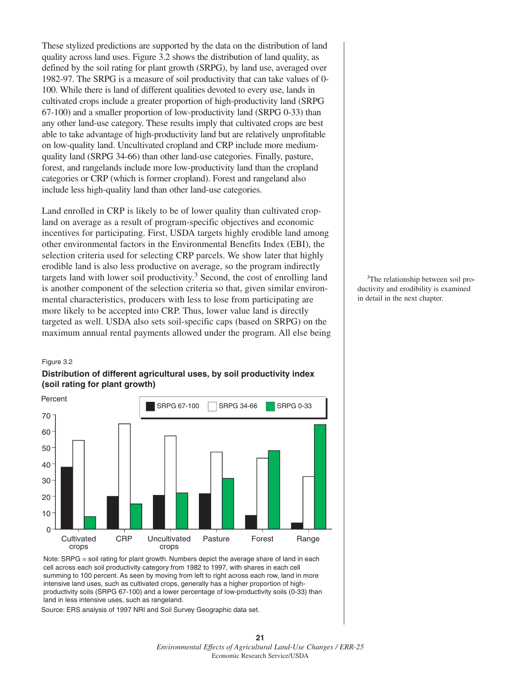These stylized predictions are supported by the data on the distribution of land quality across land uses. Figure 3.2 shows the distribution of land quality, as defined by the soil rating for plant growth (SRPG), by land use, averaged over 1982-97. The SRPG is a measure of soil productivity that can take values of 0- 100. While there is land of different qualities devoted to every use, lands in cultivated crops include a greater proportion of high-productivity land (SRPG 67-100) and a smaller proportion of low-productivity land (SRPG 0-33) than any other land-use category. These results imply that cultivated crops are best able to take advantage of high-productivity land but are relatively unprofitable on low-quality land. Uncultivated cropland and CRP include more mediumquality land (SRPG 34-66) than other land-use categories. Finally, pasture, forest, and rangelands include more low-productivity land than the cropland categories or CRP (which is former cropland). Forest and rangeland also include less high-quality land than other land-use categories.

Land enrolled in CRP is likely to be of lower quality than cultivated cropland on average as a result of program-specific objectives and economic incentives for participating. First, USDA targets highly erodible land among other environmental factors in the Environmental Benefits Index (EBI), the selection criteria used for selecting CRP parcels. We show later that highly erodible land is also less productive on average, so the program indirectly targets land with lower soil productivity.3 Second, the cost of enrolling land is another component of the selection criteria so that, given similar environmental characteristics, producers with less to lose from participating are more likely to be accepted into CRP. Thus, lower value land is directly targeted as well. USDA also sets soil-specific caps (based on SRPG) on the maximum annual rental payments allowed under the program. All else being

#### Figure 3.2





Note: SRPG = soil rating for plant growth. Numbers depict the average share of land in each cell across each soil productivity category from 1982 to 1997, with shares in each cell summing to 100 percent. As seen by moving from left to right across each row, land in more intensive land uses, such as cultivated crops, generally has a higher proportion of highproductivity soils (SRPG 67-100) and a lower percentage of low-productivity soils (0-33) than land in less intensive uses, such as rangeland.

Source: ERS analysis of 1997 NRI and Soil Survey Geographic data set.

<sup>3</sup>The relationship between soil productivity and erodibility is examined in detail in the next chapter.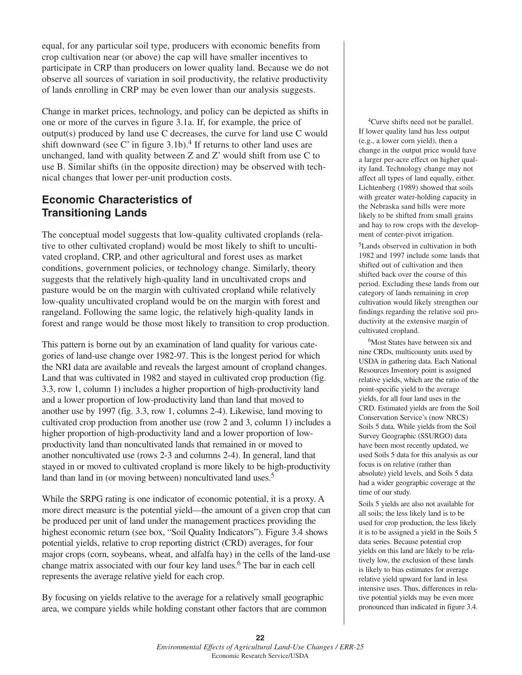equal, for any particular soil type, producers with economic benefits from crop cultivation near (or above) the cap will have smaller incentives to participate in CRP than producers on lower quality land. Because we do not observe all sources of variation in soil productivity, the relative productivity of lands enrolling in CRP may be even lower than our analysis suggests.

Change in market prices, technology, and policy can be depicted as shifts in one or more of the curves in figure 3.1a. If, for example, the price of output(s) produced by land use C decreases, the curve for land use C would shift downward (see C' in figure  $3.1b$ ).<sup>4</sup> If returns to other land uses are unchanged, land with quality between Z and Z' would shift from use C to use B. Similar shifts (in the opposite direction) may be observed with technical changes that lower per-unit production costs.

## **Economic Characteristics of Transitioning Lands**

The conceptual model suggests that low-quality cultivated croplands (relative to other cultivated cropland) would be most likely to shift to uncultivated cropland, CRP, and other agricultural and forest uses as market conditions, government policies, or technology change. Similarly, theory suggests that the relatively high-quality land in uncultivated crops and pasture would be on the margin with cultivated cropland while relatively low-quality uncultivated cropland would be on the margin with forest and rangeland. Following the same logic, the relatively high-quality lands in forest and range would be those most likely to transition to crop production.

This pattern is borne out by an examination of land quality for various categories of land-use change over 1982-97. This is the longest period for which the NRI data are available and reveals the largest amount of cropland changes. Land that was cultivated in 1982 and stayed in cultivated crop production (fig. 3.3, row 1, column 1) includes a higher proportion of high-productivity land and a lower proportion of low-productivity land than land that moved to another use by 1997 (fig. 3.3, row 1, columns 2-4). Likewise, land moving to cultivated crop production from another use (row 2 and 3, column 1) includes a higher proportion of high-productivity land and a lower proportion of lowproductivity land than noncultivated lands that remained in or moved to another noncultivated use (rows 2-3 and columns 2-4). In general, land that stayed in or moved to cultivated cropland is more likely to be high-productivity land than land in (or moving between) noncultivated land uses.<sup>5</sup>

While the SRPG rating is one indicator of economic potential, it is a proxy. A more direct measure is the potential yield—the amount of a given crop that can be produced per unit of land under the management practices providing the highest economic return (see box, "Soil Quality Indicators"). Figure 3.4 shows potential yields, relative to crop reporting district (CRD) averages, for four major crops (corn, soybeans, wheat, and alfalfa hay) in the cells of the land-use change matrix associated with our four key land uses.6 The bar in each cell represents the average relative yield for each crop.

By focusing on yields relative to the average for a relatively small geographic area, we compare yields while holding constant other factors that are common

<sup>4</sup>Curve shifts need not be parallel. If lower quality land has less output (e.g., a lower corn yield), then a change in the output price would have a larger per-acre effect on higher quality land. Technology change may not affect all types of land equally, either. Lichtenberg (1989) showed that soils with greater water-holding capacity in the Nebraska sand hills were more likely to be shifted from small grains and hay to row crops with the development of center-pivot irrigation.

5Lands observed in cultivation in both 1982 and 1997 include some lands that shifted out of cultivation and then shifted back over the course of this period. Excluding these lands from our category of lands remaining in crop cultivation would likely strengthen our findings regarding the relative soil productivity at the extensive margin of cultivated cropland.

<sup>6</sup>Most States have between six and nine CRDs, multicounty units used by USDA in gathering data. Each National Resources Inventory point is assigned relative yields, which are the ratio of the point-specific yield to the average yields, for all four land uses in the CRD. Estimated yields are from the Soil Conservation Service's (now NRCS) Soils 5 data. While yields from the Soil Survey Geographic (SSURGO) data have been most recently updated, we used Soils 5 data for this analysis as our focus is on relative (rather than absolute) yield levels, and Soils 5 data had a wider geographic coverage at the time of our study.

Soils 5 yields are also not available for all soils; the less likely land is to be used for crop production, the less likely it is to be assigned a yield in the Soils 5 data series. Because potential crop yields on this land are likely to be relatively low, the exclusion of these lands is likely to bias estimates for average relative yield upward for land in less intensive uses. Thus, differences in relative potential yields may be even more pronounced than indicated in figure 3.4.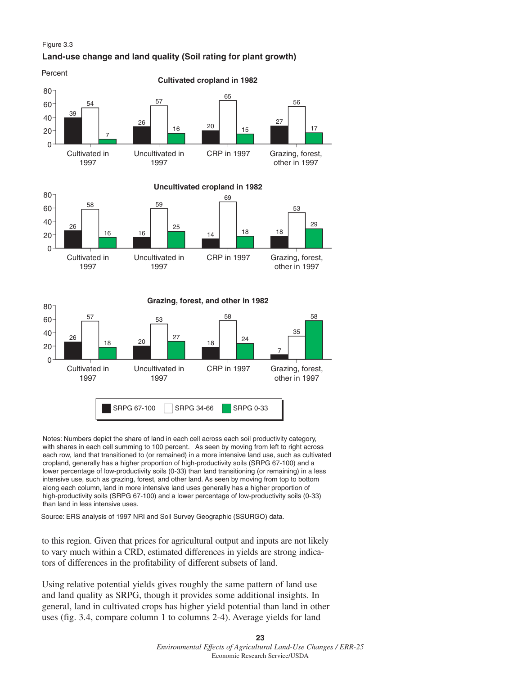

Notes: Numbers depict the share of land in each cell across each soil productivity category, with shares in each cell summing to 100 percent. As seen by moving from left to right across each row, land that transitioned to (or remained) in a more intensive land use, such as cultivated cropland, generally has a higher proportion of high-productivity soils (SRPG 67-100) and a lower percentage of low-productivity soils (0-33) than land transitioning (or remaining) in a less intensive use, such as grazing, forest, and other land. As seen by moving from top to bottom along each column, land in more intensive land uses generally has a higher proportion of high-productivity soils (SRPG 67-100) and a lower percentage of low-productivity soils (0-33) than land in less intensive uses.

Source: ERS analysis of 1997 NRI and Soil Survey Geographic (SSURGO) data.

to this region. Given that prices for agricultural output and inputs are not likely to vary much within a CRD, estimated differences in yields are strong indicators of differences in the profitability of different subsets of land.

Using relative potential yields gives roughly the same pattern of land use and land quality as SRPG, though it provides some additional insights. In general, land in cultivated crops has higher yield potential than land in other uses (fig. 3.4, compare column 1 to columns 2-4). Average yields for land

> **23** *Environmental Effects of Agricultural Land-Use Changes / ERR-25* Economic Research Service/USDA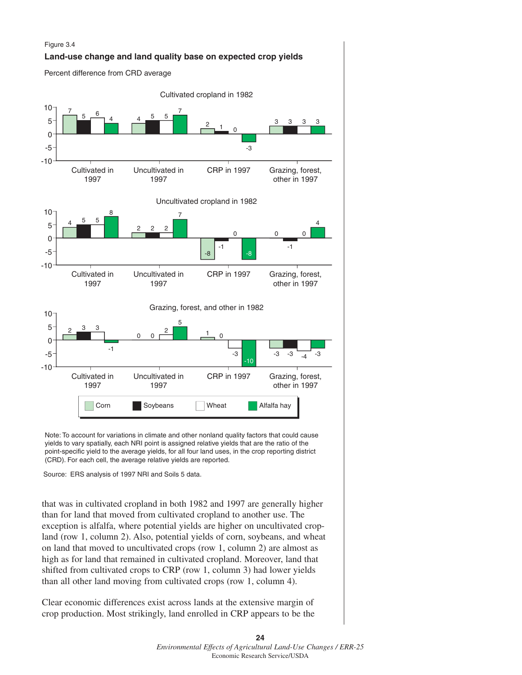

Note: To account for variations in climate and other nonland quality factors that could cause yields to vary spatially, each NRI point is assigned relative yields that are the ratio of the point-specific yield to the average yields, for all four land uses, in the crop reporting district (CRD). For each cell, the average relative yields are reported.

Source: ERS analysis of 1997 NRI and Soils 5 data.

that was in cultivated cropland in both 1982 and 1997 are generally higher than for land that moved from cultivated cropland to another use. The exception is alfalfa, where potential yields are higher on uncultivated cropland (row 1, column 2). Also, potential yields of corn, soybeans, and wheat on land that moved to uncultivated crops (row 1, column 2) are almost as high as for land that remained in cultivated cropland. Moreover, land that shifted from cultivated crops to CRP (row 1, column 3) had lower yields than all other land moving from cultivated crops (row 1, column 4).

Clear economic differences exist across lands at the extensive margin of crop production. Most strikingly, land enrolled in CRP appears to be the